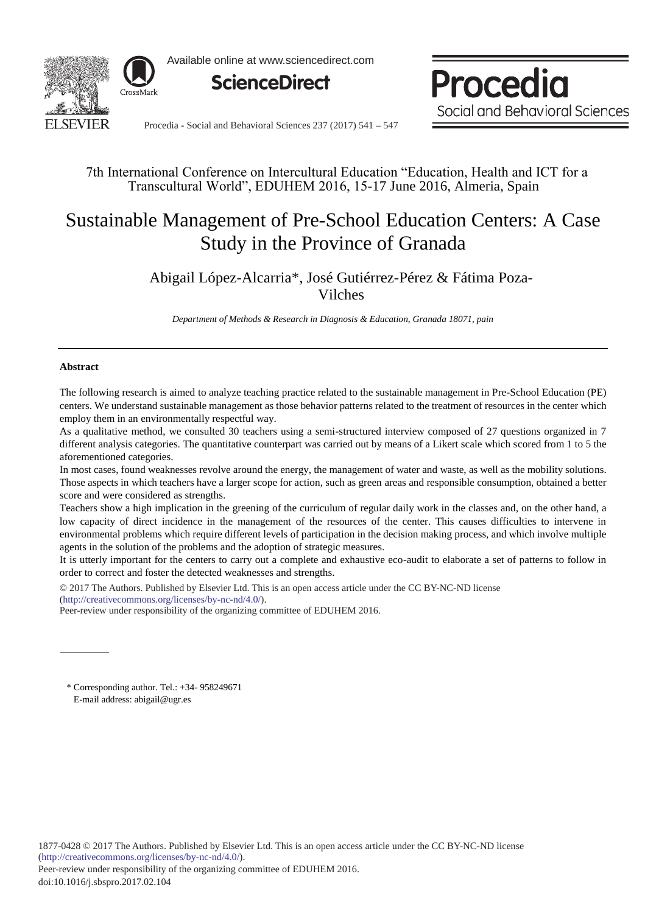

Available online at www.sciencedirect.com



Procedia Social and Behavioral Sciences

Procedia - Social and Behavioral Sciences 237 (2017) 541 – 547

## 7th International Conference on Intercultural Education "Education, Health and ICT for a Transcultural World", EDUHEM 2016, 15-17 June 2016, Almeria, Spain

# Sustainable Management of Pre-School Education Centers: A Case Study in the Province of Granada

Abigail López-Alcarria\*, José Gutiérrez-Pérez & Fátima Poza-Vilches

*Department of Methods & Research in Diagnosis & Education, Granada 18071, pain*

### **Abstract**

The following research is aimed to analyze teaching practice related to the sustainable management in Pre-School Education (PE) centers. We understand sustainable management as those behavior patterns related to the treatment of resources in the center which employ them in an environmentally respectful way.

As a qualitative method, we consulted 30 teachers using a semi-structured interview composed of 27 questions organized in 7 different analysis categories. The quantitative counterpart was carried out by means of a Likert scale which scored from 1 to 5 the aforementioned categories.

In most cases, found weaknesses revolve around the energy, the management of water and waste, as well as the mobility solutions. Those aspects in which teachers have a larger scope for action, such as green areas and responsible consumption, obtained a better score and were considered as strengths.

Teachers show a high implication in the greening of the curriculum of regular daily work in the classes and, on the other hand, a low capacity of direct incidence in the management of the resources of the center. This causes difficulties to intervene in environmental problems which require different levels of participation in the decision making process, and which involve multiple agents in the solution of the problems and the adoption of strategic measures.

It is utterly important for the centers to carry out a complete and exhaustive eco-audit to elaborate a set of patterns to follow in order to correct and foster the detected weaknesses and strengths.

© 2016 The Authors. Published by Elsevier Ltd. © 2017 The Authors. Published by Elsevier Ltd. This is an open access article under the CC BY-NC-ND license (http://creativecommons.org/licenses/by-nc-nd/4.0/).

Peer-review under responsibility of the organizing committee of EDUHEM 2016.

\* Corresponding author. Tel.: +34- 958249671 E-mail address: abigail@ugr.es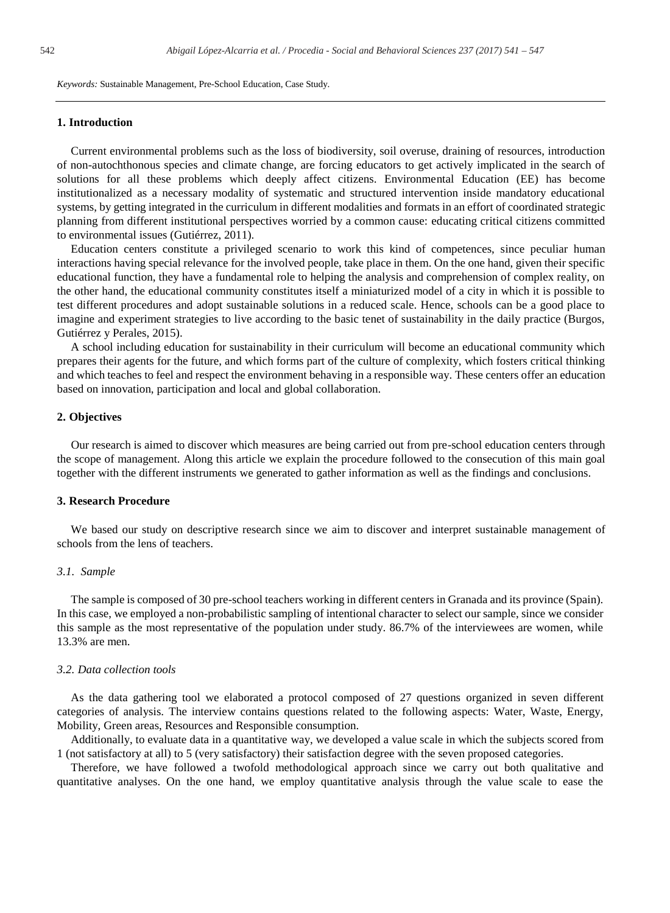*Keywords:* Sustainable Management, Pre-School Education, Case Study.

#### **1. Introduction**

Current environmental problems such as the loss of biodiversity, soil overuse, draining of resources, introduction of non-autochthonous species and climate change, are forcing educators to get actively implicated in the search of solutions for all these problems which deeply affect citizens. Environmental Education (EE) has become institutionalized as a necessary modality of systematic and structured intervention inside mandatory educational systems, by getting integrated in the curriculum in different modalities and formats in an effort of coordinated strategic planning from different institutional perspectives worried by a common cause: educating critical citizens committed to environmental issues (Gutiérrez, 2011).

Education centers constitute a privileged scenario to work this kind of competences, since peculiar human interactions having special relevance for the involved people, take place in them. On the one hand, given their specific educational function, they have a fundamental role to helping the analysis and comprehension of complex reality, on the other hand, the educational community constitutes itself a miniaturized model of a city in which it is possible to test different procedures and adopt sustainable solutions in a reduced scale. Hence, schools can be a good place to imagine and experiment strategies to live according to the basic tenet of sustainability in the daily practice (Burgos, Gutiérrez y Perales, 2015).

A school including education for sustainability in their curriculum will become an educational community which prepares their agents for the future, and which forms part of the culture of complexity, which fosters critical thinking and which teaches to feel and respect the environment behaving in a responsible way. These centers offer an education based on innovation, participation and local and global collaboration.

### **2. Objectives**

Our research is aimed to discover which measures are being carried out from pre-school education centers through the scope of management. Along this article we explain the procedure followed to the consecution of this main goal together with the different instruments we generated to gather information as well as the findings and conclusions.

### **3. Research Procedure**

We based our study on descriptive research since we aim to discover and interpret sustainable management of schools from the lens of teachers.

#### *3.1. Sample*

The sample is composed of 30 pre-school teachers working in different centers in Granada and its province (Spain). In this case, we employed a non-probabilistic sampling of intentional character to select our sample, since we consider this sample as the most representative of the population under study. 86.7% of the interviewees are women, while 13.3% are men.

### *3.2. Data collection tools*

As the data gathering tool we elaborated a protocol composed of 27 questions organized in seven different categories of analysis. The interview contains questions related to the following aspects: Water, Waste, Energy, Mobility, Green areas, Resources and Responsible consumption.

Additionally, to evaluate data in a quantitative way, we developed a value scale in which the subjects scored from 1 (not satisfactory at all) to 5 (very satisfactory) their satisfaction degree with the seven proposed categories.

Therefore, we have followed a twofold methodological approach since we carry out both qualitative and quantitative analyses. On the one hand, we employ quantitative analysis through the value scale to ease the